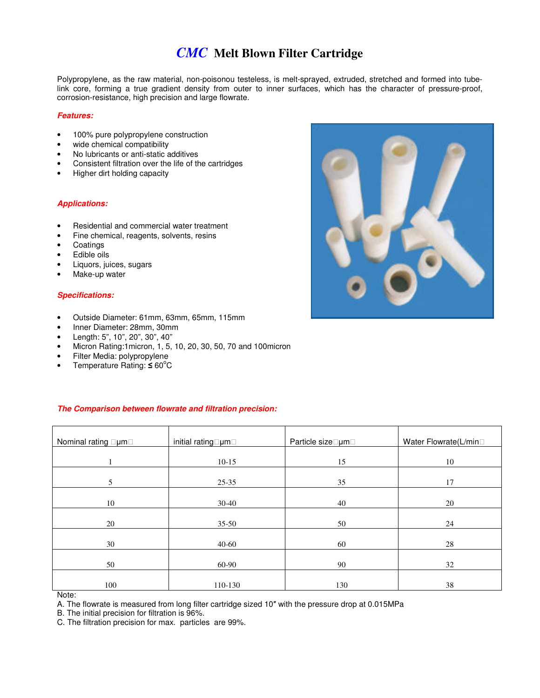## *CMC* **Melt Blown Filter Cartridge**

Polypropylene, as the raw material, non-poisonou testeless, is melt-sprayed, extruded, stretched and formed into tubelink core, forming a true gradient density from outer to inner surfaces, which has the character of pressure-proof, corrosion-resistance, high precision and large flowrate.

#### **Features:**

- 100% pure polypropylene construction
- wide chemical compatibility
- No lubricants or anti-static additives
- Consistent filtration over the life of the cartridges
- Higher dirt holding capacity

#### **Applications:**

- Residential and commercial water treatment
- Fine chemical, reagents, solvents, resins
- Coatings
- Edible oils
- Liquors, juices, sugars
- Make-up water

#### **Specifications:**

- Outside Diameter: 61mm, 63mm, 65mm, 115mm
- Inner Diameter: 28mm, 30mm
- Length: 5", 10", 20", 30", 40"
- Micron Rating:1micron, 1, 5, 10, 20, 30, 50, 70 and 100micron
- Filter Media: polypropylene
- Temperature Rating:  $\leq 60^{\circ}$ C

#### **The Comparison between flowrate and filtration precision:**

| Nominal rating<br>μm | initial rating um | Particle size um | Water Flowrate(L/min |
|----------------------|-------------------|------------------|----------------------|
|                      | $10-15$           | 15               | 10                   |
| 5                    | 25-35             | 35               | 17                   |
| 10                   | $30 - 40$         | 40               | 20                   |
| 20                   | $35-50$           | 50               | 24                   |
|                      |                   |                  |                      |
| 30                   | 40-60             | 60               | 28                   |
| 50                   | 60-90             | 90               | 32                   |
| 100                  | 110-130           | 130              | 38                   |

Note:

A. The flowrate is measured from long filter cartridge sized 10″ with the pressure drop at 0.015MPa

B. The initial precision for filtration is 96%.

C. The filtration precision for max. particles are 99%.